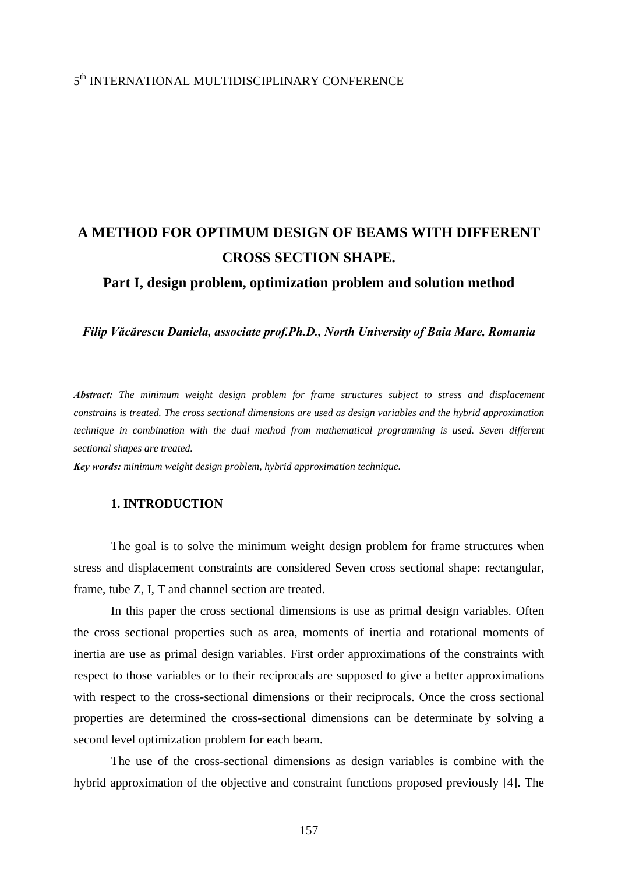## 5th INTERNATIONAL MULTIDISCIPLINARY CONFERENCE

# **A METHOD FOR OPTIMUM DESIGN OF BEAMS WITH DIFFERENT CROSS SECTION SHAPE.**

**Part I, design problem, optimization problem and solution method** 

*Filip Văcărescu Daniela, associate prof.Ph.D., North University of Baia Mare, Romania* 

*Abstract: The minimum weight design problem for frame structures subject to stress and displacement constrains is treated. The cross sectional dimensions are used as design variables and the hybrid approximation technique in combination with the dual method from mathematical programming is used. Seven different sectional shapes are treated.* 

*Key words: minimum weight design problem, hybrid approximation technique.*

#### **1. INTRODUCTION**

The goal is to solve the minimum weight design problem for frame structures when stress and displacement constraints are considered Seven cross sectional shape: rectangular, frame, tube Z, I, T and channel section are treated.

In this paper the cross sectional dimensions is use as primal design variables. Often the cross sectional properties such as area, moments of inertia and rotational moments of inertia are use as primal design variables. First order approximations of the constraints with respect to those variables or to their reciprocals are supposed to give a better approximations with respect to the cross-sectional dimensions or their reciprocals. Once the cross sectional properties are determined the cross-sectional dimensions can be determinate by solving a second level optimization problem for each beam.

The use of the cross-sectional dimensions as design variables is combine with the hybrid approximation of the objective and constraint functions proposed previously [4]. The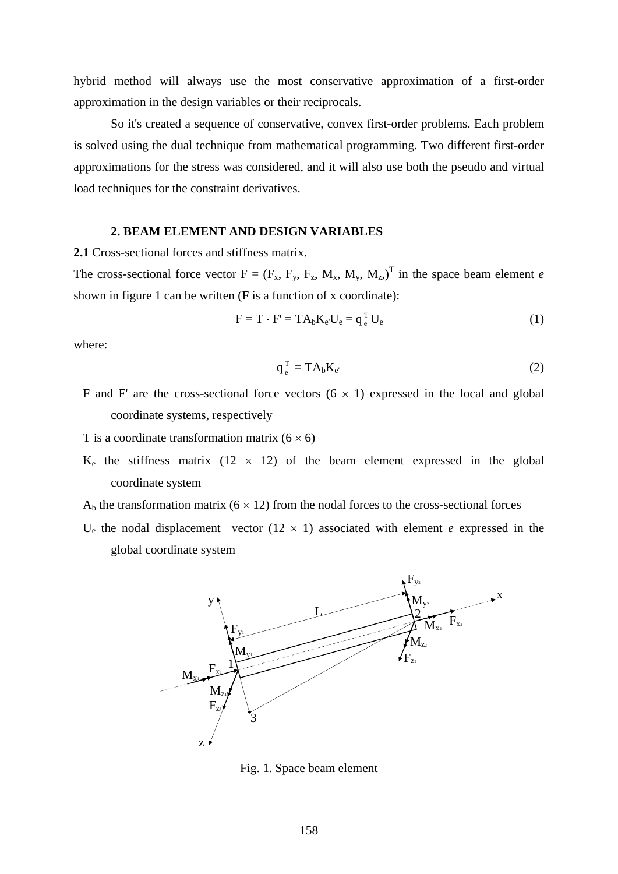hybrid method will always use the most conservative approximation of a first-order approximation in the design variables or their reciprocals.

So it's created a sequence of conservative, convex first-order problems. Each problem is solved using the dual technique from mathematical programming. Two different first-order approximations for the stress was considered, and it will also use both the pseudo and virtual load techniques for the constraint derivatives.

#### **2. BEAM ELEMENT AND DESIGN VARIABLES**

**2.1** Cross-sectional forces and stiffness matrix.

The cross-sectional force vector  $F = (F_x, F_y, F_z, M_x, M_y, M_z)^T$  in the space beam element *e* shown in figure 1 can be written (F is a function of x coordinate):

$$
F = T \cdot F' = TA_bK_e \cdot U_e = q_e^T U_e \tag{1}
$$

where:

$$
q_e^T = T A_b K_{e'} \tag{2}
$$

F and F' are the cross-sectional force vectors  $(6 \times 1)$  expressed in the local and global coordinate systems, respectively

T is a coordinate transformation matrix  $(6 \times 6)$ 

- $K_e$  the stiffness matrix (12  $\times$  12) of the beam element expressed in the global coordinate system
- $A<sub>b</sub>$  the transformation matrix (6  $\times$  12) from the nodal forces to the cross-sectional forces
- U<sub>e</sub> the nodal displacement vector  $(12 \times 1)$  associated with element *e* expressed in the global coordinate system



Fig. 1. Space beam element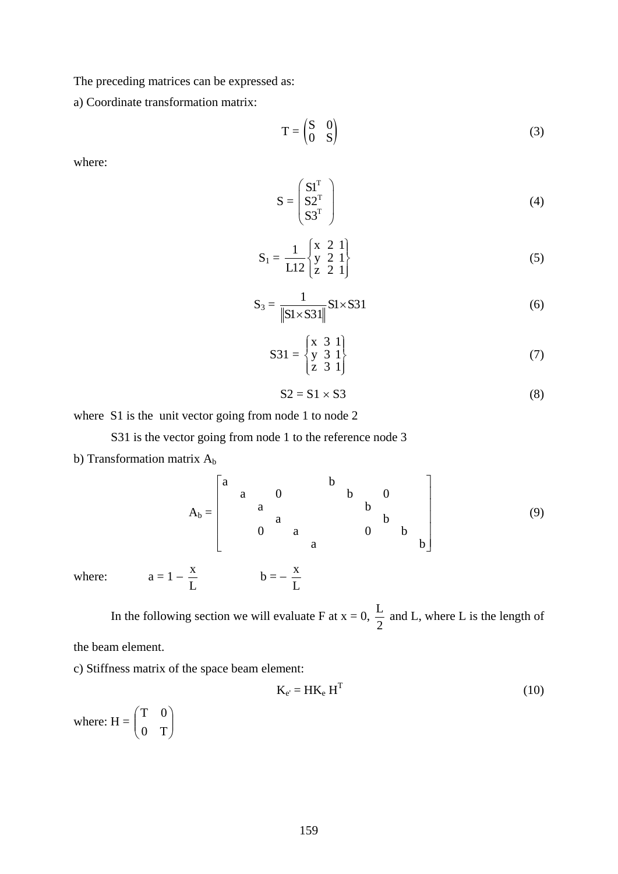The preceding matrices can be expressed as:

a) Coordinate transformation matrix:

$$
T = \begin{pmatrix} S & 0 \\ 0 & S \end{pmatrix} \tag{3}
$$

where:

$$
S = \begin{pmatrix} S1^{T} \\ S2^{T} \\ S3^{T} \end{pmatrix}
$$
 (4)

$$
S_1 = \frac{1}{L12} \begin{Bmatrix} x & 2 & 1 \\ y & 2 & 1 \\ z & 2 & 1 \end{Bmatrix}
$$
 (5)

$$
S_3 = \frac{1}{\|\mathbf{S} \times \mathbf{S} \times \mathbf{S} \times \mathbf{S} \times \mathbf{S} \times \mathbf{S} \times \mathbf{S} \times \mathbf{S} \times \mathbf{S} \times \mathbf{S} \times \mathbf{S} \times \mathbf{S} \times \mathbf{S} \times \mathbf{S} \times \mathbf{S} \times \mathbf{S} \times \mathbf{S} \times \mathbf{S} \times \mathbf{S} \times \mathbf{S} \times \mathbf{S} \times \mathbf{S} \times \mathbf{S} \times \mathbf{S} \times \mathbf{S} \times \mathbf{S} \times \mathbf{S} \times \mathbf{S} \times \mathbf{S} \times \mathbf{S} \times \mathbf{S} \times \mathbf{S} \times \mathbf{S} \times \mathbf{S} \times \mathbf{S} \times \mathbf{S} \times \mathbf{S} \times \mathbf{S} \times \mathbf{S} \times \mathbf{S} \times \mathbf{S} \times \mathbf{S} \times \mathbf{S} \times \mathbf{S} \times \mathbf{S} \times \mathbf{S} \times \mathbf{S} \times \mathbf{S} \times \mathbf{S} \times \mathbf{S} \times \mathbf{S} \times \mathbf{S} \times \mathbf{S} \times \mathbf{S} \times \mathbf{S} \times \mathbf{S} \times \mathbf{S} \times \mathbf{S} \times \mathbf{S} \times \mathbf{S} \times \mathbf{S} \times \mathbf{S} \times \mathbf{S} \times \mathbf{S} \times \mathbf{S} \times \mathbf{S} \times \mathbf{S} \times \mathbf{S} \times \mathbf{S} \times \mathbf{S} \times \mathbf{S} \times \mathbf{S} \times \mathbf{S} \times \mathbf{S} \times \mathbf{S} \times \mathbf{S} \times \mathbf{S} \times \mathbf{S} \times \mathbf{S} \times \mathbf{S} \times \mathbf{S} \times \mathbf{S} \times \mathbf{S} \times \mathbf{S} \times \mathbf{S} \times \mathbf{S} \times \mathbf{S} \times \mathbf{S} \times \mathbf{S} \times \mathbf{S} \times \mathbf{S} \times \mathbf{S} \times \mathbf{S} \times \mathbf{S
$$

$$
S31 = \begin{Bmatrix} x & 3 & 1 \\ y & 3 & 1 \\ z & 3 & 1 \end{Bmatrix}
$$
 (7)

$$
S2 = S1 \times S3 \tag{8}
$$

where S1 is the unit vector going from node 1 to node 2

S31 is the vector going from node 1 to the reference node 3

b) Transformation matrix  $A_b$ 

$$
A_b = \begin{bmatrix} a & & & & b & & & \\ & a & & & & b & & \\ & & a & & & & b & \\ & & & a & & & & b \\ & & & & a & & & & 0 \end{bmatrix}
$$
 (9)

where:  $a = 1 - \frac{x}{L}$   $b = -\frac{x}{L}$ 

In the following section we will evaluate F at  $x = 0$ ,  $\frac{L}{2}$  and L, where L is the length of

the beam element.

c) Stiffness matrix of the space beam element:

$$
K_{e'} = HK_e H^T
$$
 (10)

where:  $H = \begin{bmatrix} 1 & 0 \\ 0 & T \end{bmatrix}$ ⎠ ⎞  $\overline{\phantom{a}}$ ⎝  $\sqrt{}$  $0$  T 0T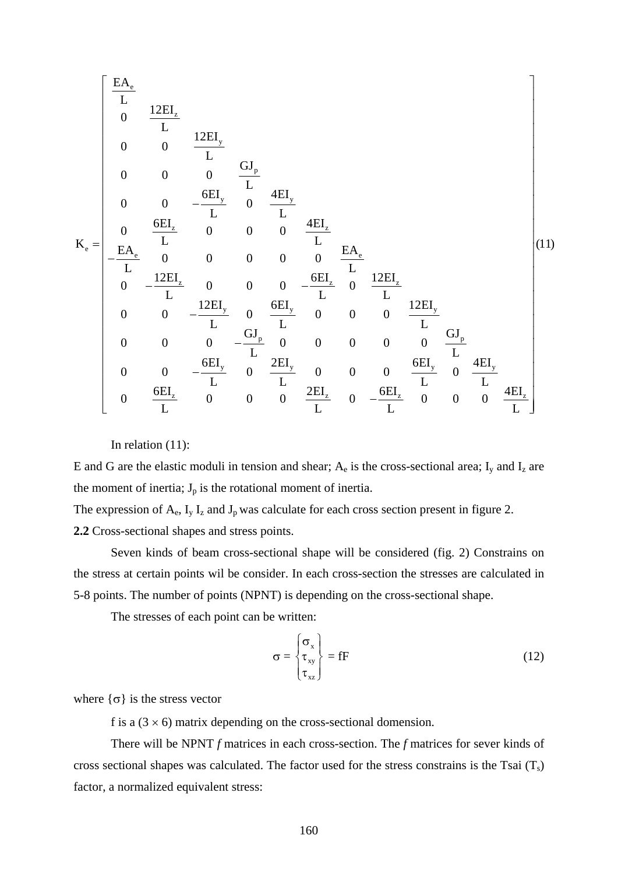$$
K_e = \begin{bmatrix} \frac{EA_e}{L} & & & & \\ 0 & \frac{12EI_z}{L} & & & \\ 0 & 0 & \frac{12EI_y}{L} & & \\ 0 & 0 & 0 & \frac{GI_p}{L} & \\ 0 & 0 & -\frac{6EI_z}{L} & 0 & \frac{4EI_z}{L} \\ -\frac{EA_e}{L} & 0 & 0 & 0 & 0 & \frac{EA_e}{L} \\ -\frac{EA_e}{L} & 0 & 0 & 0 & 0 & \frac{6EI_z}{L} & 0 \\ 0 & -\frac{12EI_z}{L} & 0 & 0 & 0 & -\frac{6EI_z}{L} & 0 & \frac{12EI_z}{L} \\ 0 & 0 & -\frac{12EI_y}{L} & 0 & \frac{6EI_y}{L} & 0 & 0 & 0 & 0 & \frac{12EI_y}{L} \\ 0 & 0 & 0 & -\frac{GI_p}{L} & 0 & 0 & 0 & 0 & 0 & \frac{GI_p}{L} \\ 0 & 0 & -\frac{6EI_y}{L} & 0 & \frac{2EI_y}{L} & 0 & 0 & 0 & \frac{6EI_y}{L} & 0 & \frac{4EI_z}{L} \\ 0 & \frac{6EI_z}{L} & 0 & 0 & 0 & \frac{2EI_z}{L} & 0 & -\frac{6EI_z}{L} & 0 & 0 & 0 & \frac{4EI_z}{L} \end{bmatrix} (11)
$$

In relation (11):

E and G are the elastic moduli in tension and shear;  $A_e$  is the cross-sectional area;  $I_y$  and  $I_z$  are the moment of inertia;  $J_p$  is the rotational moment of inertia.

The expression of  $A_e$ ,  $I_y I_z$  and  $J_p$  was calculate for each cross section present in figure 2.

**2.2** Cross-sectional shapes and stress points.

 Seven kinds of beam cross-sectional shape will be considered (fig. 2) Constrains on the stress at certain points wil be consider. In each cross-section the stresses are calculated in 5-8 points. The number of points (NPNT) is depending on the cross-sectional shape.

The stresses of each point can be written:

$$
\sigma = \begin{cases} \sigma_{x} \\ \tau_{xy} \\ \tau_{xz} \end{cases} = fF \tag{12}
$$

where  $\{\sigma\}$  is the stress vector

f is a  $(3 \times 6)$  matrix depending on the cross-sectional domension.

 There will be NPNT *f* matrices in each cross-section. The *f* matrices for sever kinds of cross sectional shapes was calculated. The factor used for the stress constrains is the Tsai  $(T<sub>s</sub>)$ factor, a normalized equivalent stress: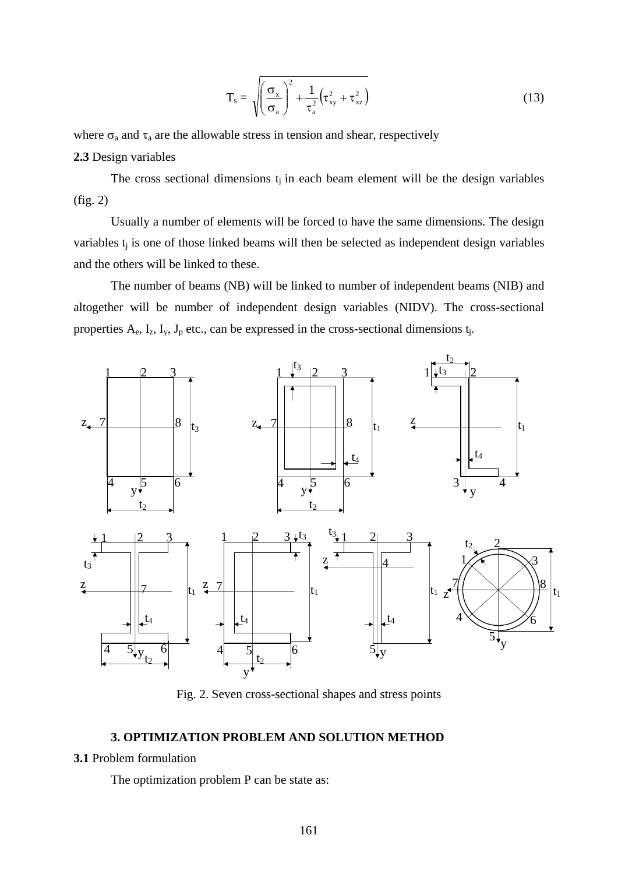$$
T_s = \sqrt{\left(\frac{\sigma_x}{\sigma_a}\right)^2 + \frac{1}{\tau_a^2} \left(\tau_{xy}^2 + \tau_{xz}^2\right)}
$$
(13)

where  $\sigma_a$  and  $\tau_a$  are the allowable stress in tension and shear, respectively **2.3** Design variables

The cross sectional dimensions  $t_i$  in each beam element will be the design variables (fig. 2)

 Usually a number of elements will be forced to have the same dimensions. The design variables  $t_i$  is one of those linked beams will then be selected as independent design variables and the others will be linked to these.

 The number of beams (NB) will be linked to number of independent beams (NIB) and altogether will be number of independent design variables (NIDV). The cross-sectional properties  $A_e$ ,  $I_z$ ,  $I_y$ ,  $J_p$  etc., can be expressed in the cross-sectional dimensions  $t_j$ .



Fig. 2. Seven cross-sectional shapes and stress points

### **3. OPTIMIZATION PROBLEM AND SOLUTION METHOD**

#### **3.1** Problem formulation

The optimization problem P can be state as: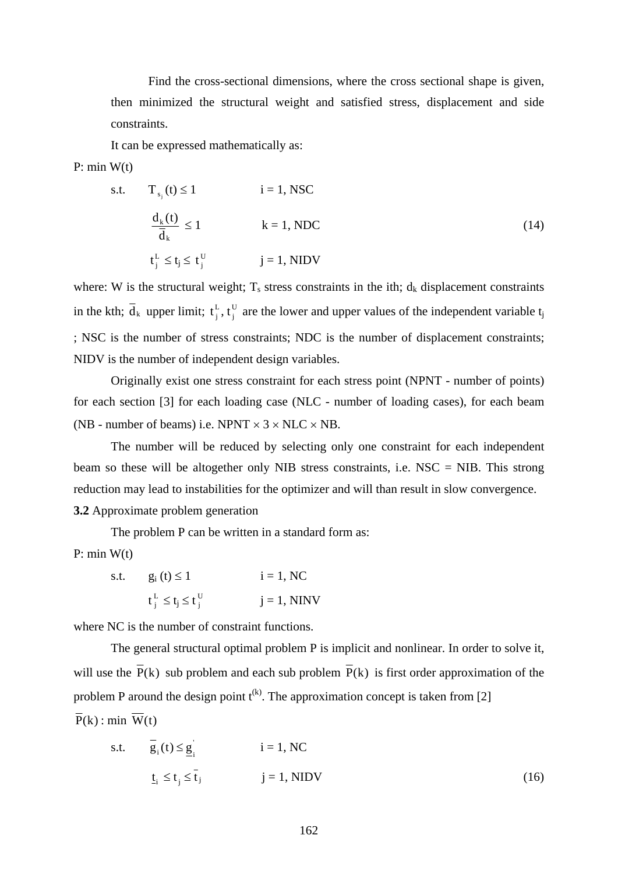Find the cross-sectional dimensions, where the cross sectional shape is given, then minimized the structural weight and satisfied stress, displacement and side constraints.

It can be expressed mathematically as:

P: min  $W(t)$ 

s.t. 
$$
T_{s_j}(t) \le 1
$$
  $i = 1$ , NSC  

$$
\frac{d_k(t)}{\overline{d}_k} \le 1
$$
  $k = 1$ , NDC  
 $t_j^L \le t_j \le t_j^U$   $j = 1$ , NIDV  
 $(14)$ 

where: W is the structural weight;  $T_s$  stress constraints in the ith;  $d_k$  displacement constraints in the kth;  $\overline{d}_k$  upper limit;  $t_i^L$ ,  $t_i^U$  are the lower and upper values of the independent variable t<sub>i</sub> ; NSC is the number of stress constraints; NDC is the number of displacement constraints; NIDV is the number of independent design variables. j  $\mathfrak{t}^{\text{L}}_{\text{j}},\mathfrak{t}$ 

 Originally exist one stress constraint for each stress point (NPNT - number of points) for each section [3] for each loading case (NLC - number of loading cases), for each beam (NB - number of beams) i.e. NPNT  $\times$  3  $\times$  NLC  $\times$  NB.

 The number will be reduced by selecting only one constraint for each independent beam so these will be altogether only NIB stress constraints, i.e. NSC = NIB. This strong reduction may lead to instabilities for the optimizer and will than result in slow convergence. **3.2** Approximate problem generation

The problem P can be written in a standard form as:

 $P: min W(t)$ 

s.t. 
$$
g_i(t) \le 1
$$
  $i = 1, NC$   
 $t_j^L \le t_j \le t_j^U$   $j = 1, NINV$ 

where NC is the number of constraint functions.

The general structural optimal problem P is implicit and nonlinear. In order to solve it, will use the  $\overline{P}(k)$  sub problem and each sub problem  $\overline{P}(k)$  is first order approximation of the problem P around the design point  $t^{(k)}$ . The approximation concept is taken from [2]  $\overline{P}(k)$ : min  $\overline{W}(t)$ 

s.t. 
$$
\overline{g}_i(t) \le \underline{g}_i
$$
   
  $i = 1, NC$   
 $\underline{t}_i \le t_j \le \overline{t}_j$    
  $j = 1, NIDV$  (16)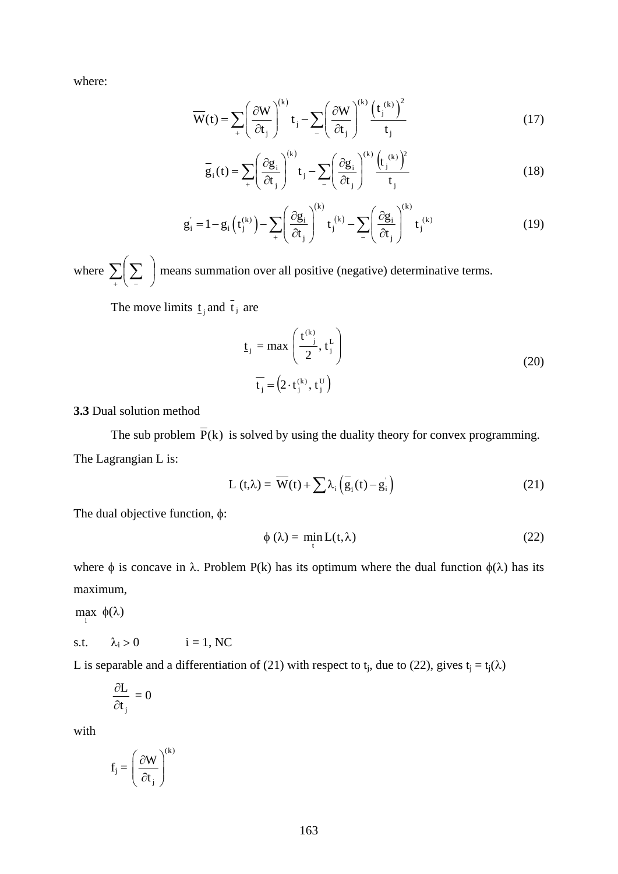where:

$$
\overline{W}(t) = \sum_{i} \left(\frac{\partial W}{\partial t_{j}}\right)^{(k)} t_{j} - \sum_{i} \left(\frac{\partial W}{\partial t_{j}}\right)^{(k)} \frac{\left(t_{j}^{(k)}\right)^{2}}{t_{j}}
$$
(17)

$$
\overline{g}_i(t) = \sum_{i} \left(\frac{\partial g_i}{\partial t_j}\right)^{(k)} t_j - \sum_{i} \left(\frac{\partial g_i}{\partial t_j}\right)^{(k)} \frac{\left(t_j^{(k)}\right)^2}{t_j}
$$
(18)

$$
g_i = 1 - g_i \left( t_i^{(k)} \right) - \sum_{+} \left( \frac{\partial g_i}{\partial t_j} \right)^{(k)} t_j^{(k)} - \sum_{-} \left( \frac{\partial g_i}{\partial t_j} \right)^{(k)} t_j^{(k)} \tag{19}
$$

where  $\sum_{+} \left( \sum_{-} \right)$  means summation over all positive (negative) determinative terms. ⎠  $(\Sigma)$ ⎝  $\big($ 

The move limits  $\underline{t}_j$  and  $\overline{t}_j$  are

$$
\underline{\mathbf{t}}_{j} = \max\left(\frac{\mathbf{t}^{(k)}}{2}, \mathbf{t}_{j}^{L}\right)
$$
\n
$$
\overline{\mathbf{t}}_{j} = (2 \cdot \mathbf{t}_{j}^{(k)}, \mathbf{t}_{j}^{U})
$$
\n(20)

**3.3** Dual solution method

The sub problem  $\overline{P}(k)$  is solved by using the duality theory for convex programming. The Lagrangian L is:

$$
L(t,\lambda) = \overline{W}(t) + \sum \lambda_i \left( \overline{g}_i(t) - g_i \right)
$$
 (21)

The dual objective function,  $\phi$ :

$$
\phi(\lambda) = \min_{t} L(t, \lambda) \tag{22}
$$

where  $\phi$  is concave in  $\lambda$ . Problem P(k) has its optimum where the dual function  $\phi(\lambda)$  has its maximum,

 $\max_i$  φ(λ)

$$
s.t. \qquad \lambda_i > 0 \qquad \qquad i = 1, \, NC
$$

L is separable and a differentiation of (21) with respect to t<sub>i</sub>, due to (22), gives t<sub>i</sub> = t<sub>i</sub>( $\lambda$ )

$$
\frac{\partial L}{\partial t_{_j}}=0
$$

with

$$
f_j = \left(\frac{\partial W}{\partial t_j}\right)^{\!(k)}
$$